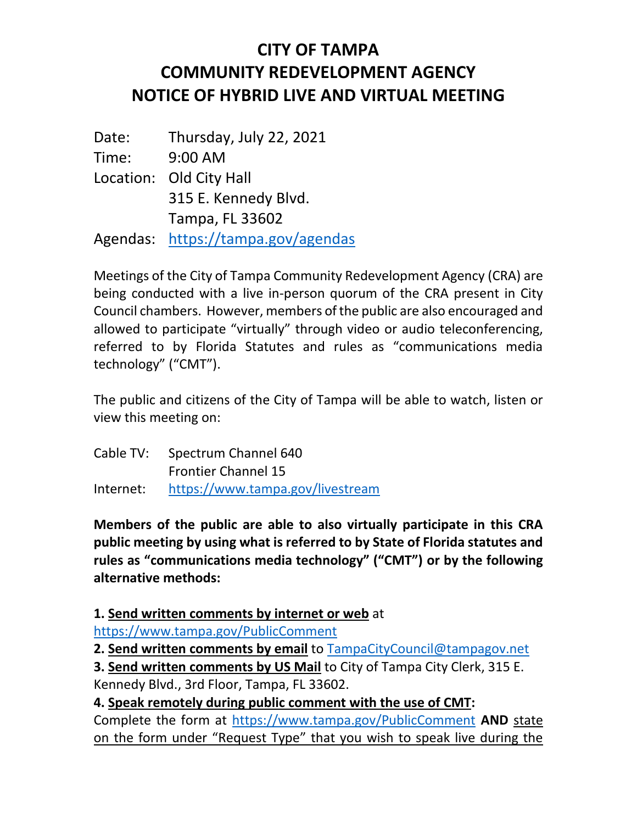## **CITY OF TAMPA COMMUNITY REDEVELOPMENT AGENCY NOTICE OF HYBRID LIVE AND VIRTUAL MEETING**

Date: Thursday, July 22, 2021 Time: 9:00 AM Location: Old City Hall 315 E. Kennedy Blvd. Tampa, FL 33602 Agendas: <https://tampa.gov/agendas>

Meetings of the City of Tampa Community Redevelopment Agency (CRA) are being conducted with a live in-person quorum of the CRA present in City Council chambers. However, members of the public are also encouraged and allowed to participate "virtually" through video or audio teleconferencing, referred to by Florida Statutes and rules as "communications media technology" ("CMT").

The public and citizens of the City of Tampa will be able to watch, listen or view this meeting on:

| Cable TV: Spectrum Channel 640             |
|--------------------------------------------|
| <b>Frontier Channel 15</b>                 |
| Internet: https://www.tampa.gov/livestream |

**Members of the public are able to also virtually participate in this CRA public meeting by using what is referred to by State of Florida statutes and rules as "communications media technology" ("CMT") or by the following alternative methods:**

**1. Send written comments by internet or web** at

<https://www.tampa.gov/PublicComment>

**2. Send written comments by email** to [TampaCityCouncil@tampagov.net](mailto:TampaCityCouncil@tampagov.net)

**3. Send written comments by US Mail** to City of Tampa City Clerk, 315 E. Kennedy Blvd., 3rd Floor, Tampa, FL 33602.

**4. Speak remotely during public comment with the use of CMT:**

Complete the form at <https://www.tampa.gov/PublicComment> **AND** state on the form under "Request Type" that you wish to speak live during the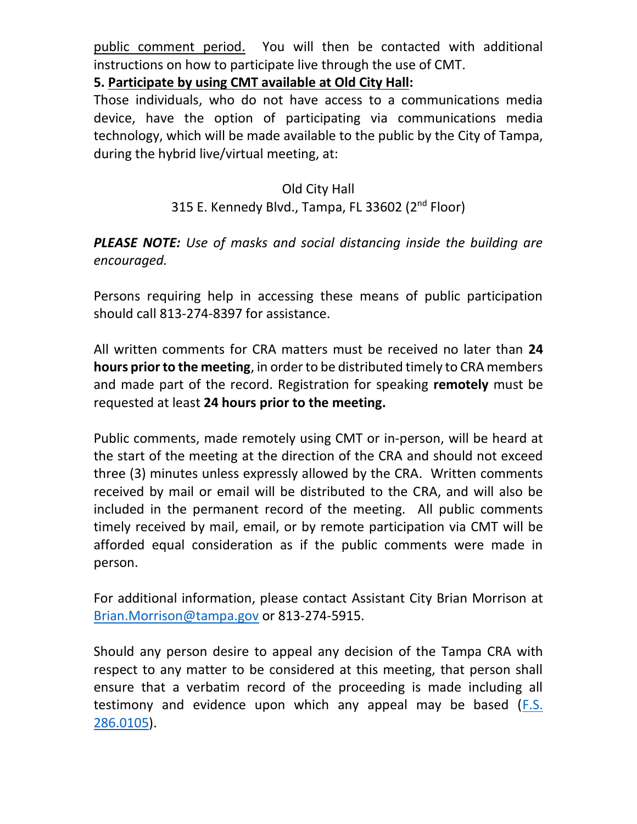public comment period. You will then be contacted with additional instructions on how to participate live through the use of CMT.

**5. Participate by using CMT available at Old City Hall:**

Those individuals, who do not have access to a communications media device, have the option of participating via communications media technology, which will be made available to the public by the City of Tampa, during the hybrid live/virtual meeting, at:

## Old City Hall

## 315 E. Kennedy Blvd., Tampa, FL 33602 (2<sup>nd</sup> Floor)

## *PLEASE NOTE: Use of masks and social distancing inside the building are encouraged.*

Persons requiring help in accessing these means of public participation should call 813-274-8397 for assistance.

All written comments for CRA matters must be received no later than **24 hours prior to the meeting**, in order to be distributed timely to CRA members and made part of the record. Registration for speaking **remotely** must be requested at least **24 hours prior to the meeting.**

Public comments, made remotely using CMT or in-person, will be heard at the start of the meeting at the direction of the CRA and should not exceed three (3) minutes unless expressly allowed by the CRA. Written comments received by mail or email will be distributed to the CRA, and will also be included in the permanent record of the meeting. All public comments timely received by mail, email, or by remote participation via CMT will be afforded equal consideration as if the public comments were made in person.

For additional information, please contact Assistant City Brian Morrison at [Brian.Morrison@tampa.gov](mailto:Brian.Morrison@tampa.gov) or 813-274-5915.

Should any person desire to appeal any decision of the Tampa CRA with respect to any matter to be considered at this meeting, that person shall ensure that a verbatim record of the proceeding is made including all testimony and evidence upon which any appeal may be based [\(F.S.](http://www.leg.state.fl.us/Statutes/index.cfm?App_mode=Display_Statute&URL=0200-0299/0286/Sections/0286.0105.html)  [286.0105\)](http://www.leg.state.fl.us/Statutes/index.cfm?App_mode=Display_Statute&URL=0200-0299/0286/Sections/0286.0105.html).